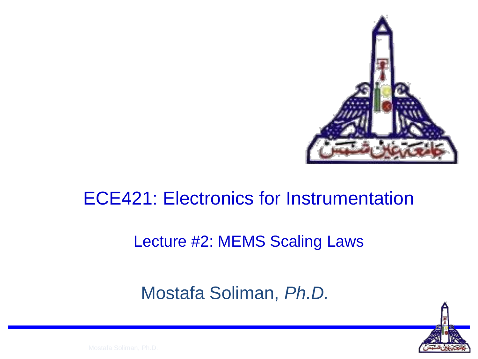

#### ECE421: Electronics for Instrumentation

#### Lecture #2: MEMS Scaling Laws

#### Mostafa Soliman, *Ph.D.*

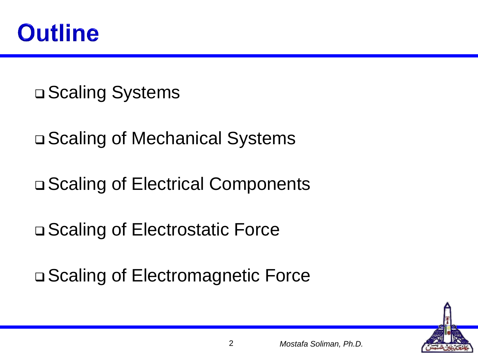

**□ Scaling Systems** 

□ Scaling of Mechanical Systems

□ Scaling of Electrical Components

□ Scaling of Electrostatic Force

□ Scaling of Electromagnetic Force

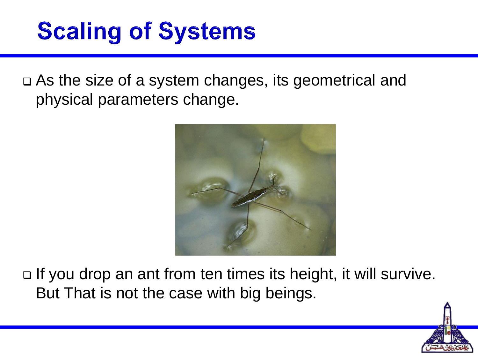### **Scaling of Systems**

 As the size of a system changes, its geometrical and physical parameters change.



□ If you drop an ant from ten times its height, it will survive. But That is not the case with big beings.

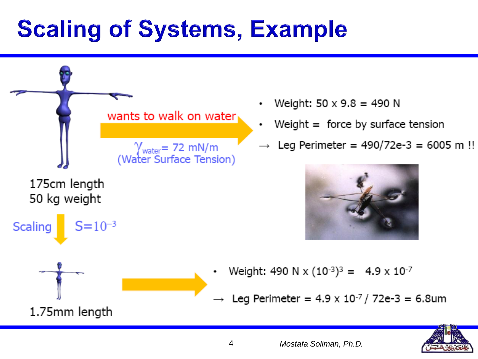# **Scaling of Systems, Example**



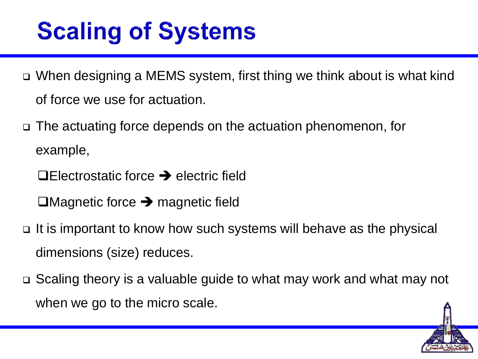# **Scaling of Systems**

- When designing a MEMS system, first thing we think about is what kind of force we use for actuation.
- The actuating force depends on the actuation phenomenon, for example,
	- $\Box$ Electrostatic force  $\rightarrow$  electric field
	- $\Box$ Magnetic force  $\rightarrow$  magnetic field
- It is important to know how such systems will behave as the physical dimensions (size) reduces.
- Scaling theory is a valuable guide to what may work and what may not when we go to the micro scale.

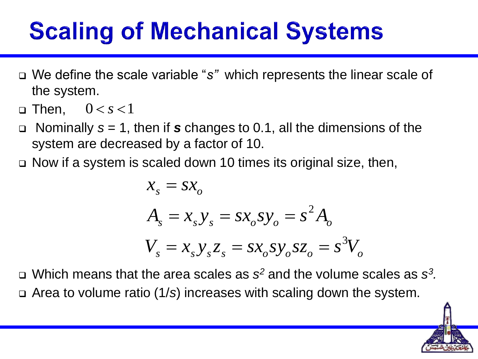# **Scaling of Mechanical Systems**

- We define the scale variable "*s"* which represents the linear scale of the system.
- $\textsf{m}$  Then,  $0\,{<}\,s\,{<}\,1$
- Nominally *s* = 1, then if *s* changes to 0.1, all the dimensions of the system are decreased by a factor of 10.
- Now if a system is scaled down 10 times its original size, then,

$$
x_s = sx_o
$$
  
\n
$$
A_s = x_s y_s = sx_o s y_o = s^2 A_o
$$
  
\n
$$
V_s = x_s y_s z_s = sx_o s y_o s z_o = s^3 V_o
$$

□ Which means that the area scales as *s*<sup>2</sup> and the volume scales as *s*<sup>3</sup>. Area to volume ratio (1/*s*) increases with scaling down the system.

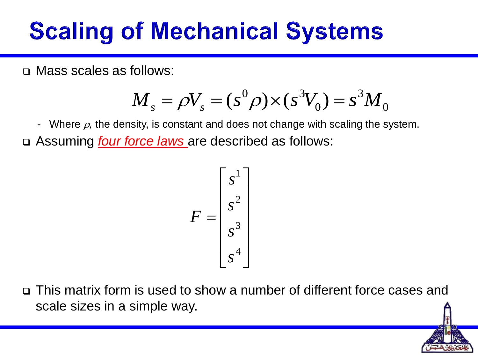# **Scaling of Mechanical Systems**

Mass scales as follows:

$$
M_{s} = \rho V_{s} = (s^{0} \rho) \times (s^{3} V_{0}) = s^{3} M_{0}
$$

- Where  $\rho$ , the density, is constant and does not change with scaling the system. Assuming *four force laws* are described as follows:

$$
F = \begin{bmatrix} s^1 \\ s^2 \\ s^3 \\ s^4 \end{bmatrix}
$$

 This matrix form is used to show a number of different force cases and scale sizes in a simple way.

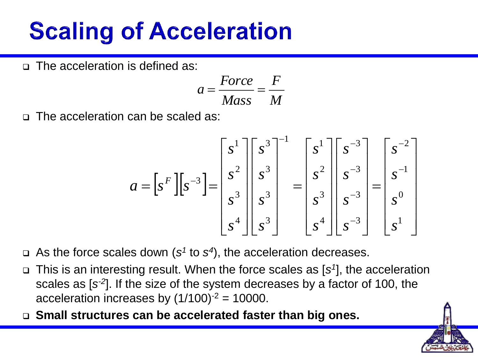### **Scaling of Acceleration**

□ The acceleration is defined as:

$$
a = \frac{Force}{Mass} = \frac{F}{M}
$$

□ The acceleration can be scaled as:

$$
a = \left[s^{F}\right]\left[s^{-3}\right] = \begin{bmatrix} s^{1} \\ s^{2} \\ s^{3} \\ s^{4} \end{bmatrix} \begin{bmatrix} s^{3} \\ s^{3} \\ s^{3} \\ s^{4} \end{bmatrix}^{1} = \begin{bmatrix} s^{1} \\ s^{2} \\ s^{3} \\ s^{4} \end{bmatrix} \begin{bmatrix} s^{-3} \\ s^{-3} \\ s^{-3} \\ s^{4} \end{bmatrix} = \begin{bmatrix} s^{-2} \\ s^{-1} \\ s^{0} \\ s^{1} \end{bmatrix}
$$

- $\Box$  As the force scales down (s<sup>1</sup> to s<sup>4</sup>), the acceleration decreases.
- This is an interesting result. When the force scales as [*s 1* ], the acceleration scales as [*s -2* ]. If the size of the system decreases by a factor of 100, the acceleration increases by  $(1/100)^{-2} = 10000$ .
- **Small structures can be accelerated faster than big ones.**

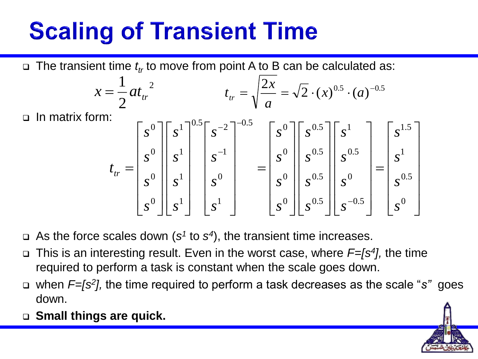# **Scaling of Transient Time**

The transient time *t tr* to move from point A to B can be calculated as:

$$
x = \frac{1}{2}at_{tr}^{2} \qquad t_{tr} = \sqrt{\frac{2x}{a}} = \sqrt{2} \cdot (x)^{0.5} \cdot (a)^{-0.5}
$$

 $\Box$  In matrix form:

$$
t_{tr} = \begin{bmatrix} s^{0} \\ s^{0} \\ s^{0} \\ s^{0} \end{bmatrix} \begin{bmatrix} s^{1} \\ s^{1} \\ s^{1} \\ s^{1} \\ s^{1} \end{bmatrix}^{0.5} \begin{bmatrix} s^{-2} \\ s^{-1} \\ s^{0} \\ s^{0} \\ s^{1} \end{bmatrix}^{0.5} = \begin{bmatrix} s^{0} \\ s^{0} \\ s^{0} \\ s^{0} \end{bmatrix} \begin{bmatrix} s^{0.5} \\ s^{0.5} \\ s^{0} \\ s^{0} \end{bmatrix} \begin{bmatrix} s^{1} \\ s^{1} \\ s^{0} \\ s^{0} \end{bmatrix} = \begin{bmatrix} s^{1.5} \\ s^{1} \\ s^{0} \\ s^{0} \end{bmatrix}
$$

- $\Box$  As the force scales down ( $s^1$  to  $s^4$ ), the transient time increases.
- This is an interesting result. Even in the worst case, where *F=[s<sup>4</sup> ],* the time required to perform a task is constant when the scale goes down.
- when *F=[s<sup>2</sup> ],* the time required to perform a task decreases as the scale "*s"* goes down.
- **Small things are quick.**

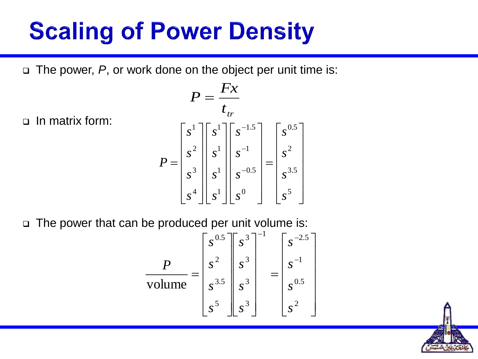## **Scaling of Power Density**

The power, *P*, or work done on the object per unit time is:

 $\Box$  In matrix form:

$$
P = \frac{Fx}{t_{tr}}
$$
  
\n
$$
P = \begin{bmatrix} s^{1} \\ s^{2} \\ s^{3} \\ s^{4} \end{bmatrix} \begin{bmatrix} s^{1} \\ s^{1} \\ s^{1} \\ s^{1} \end{bmatrix} \begin{bmatrix} s^{-1.5} \\ s^{-1} \\ s^{-0.5} \\ s^{0} \end{bmatrix} = \begin{bmatrix} s^{0.5} \\ s^{2} \\ s^{3.5} \\ s^{5} \end{bmatrix}
$$

The power that can be produced per unit volume is:

$$
\frac{P}{\text{volume}} = \begin{bmatrix} s^{0.5} \\ s^2 \\ s^{3.5} \\ s^3 \end{bmatrix} \begin{bmatrix} s^3 \\ s^3 \\ s^3 \\ s^4 \end{bmatrix}^{-1} = \begin{bmatrix} s^{-2.5} \\ s^{-1} \\ s^{0.5} \\ s^2 \end{bmatrix}
$$

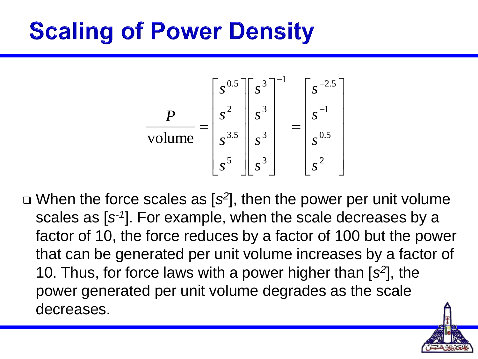# **Scaling of Power Density**

$$
\frac{P}{\text{volume}} = \begin{bmatrix} s^{0.5} \\ s^2 \\ s^{3.5} \\ s^5 \end{bmatrix} \begin{bmatrix} s^3 \\ s^3 \\ s^3 \\ s^4 \end{bmatrix}^{-1} = \begin{bmatrix} s^{-2.5} \\ s^{-1} \\ s^{0.5} \\ s^2 \end{bmatrix}
$$

 When the force scales as [*s 2* ], then the power per unit volume scales as [s<sup>-1</sup>]. For example, when the scale decreases by a factor of 10, the force reduces by a factor of 100 but the power that can be generated per unit volume increases by a factor of 10. Thus, for force laws with a power higher than [*s 2* ], the power generated per unit volume degrades as the scale decreases.

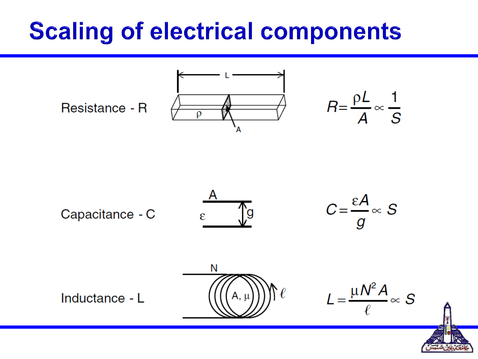## **Scaling of electrical components**



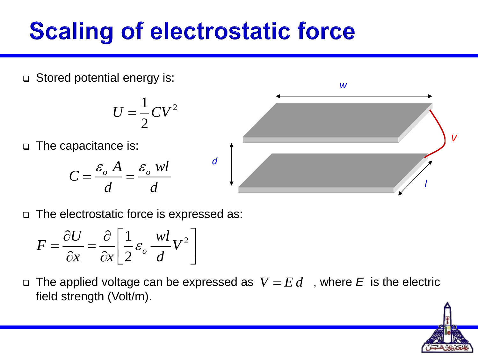# **Scaling of electrostatic force**

Stored potential energy is:

$$
U=\frac{1}{2}CV^2
$$

□ The capacitance is:

$$
C = \frac{\varepsilon_o A}{d} = \frac{\varepsilon_o \text{ }wl}{d}
$$



The electrostatic force is expressed as:

$$
F = \frac{\partial U}{\partial x} = \frac{\partial}{\partial x} \left[ \frac{1}{2} \varepsilon_o \frac{wl}{d} V^2 \right]
$$

 $\Box$  The applied voltage can be expressed as  $V = E d$  , where E is the electric field strength (Volt/m).

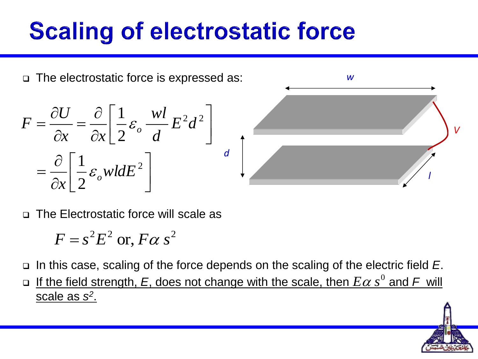# **Scaling of electrostatic force**



The Electrostatic force will scale as

$$
F = s^2 E^2 \text{ or, } F \alpha s^2
$$

In this case, scaling of the force depends on the scaling of the electric field *E*.

 $\Box$  If the field strength, E, does not change with the scale, then  $E\alpha s^0$  and F will scale as *s 2* .

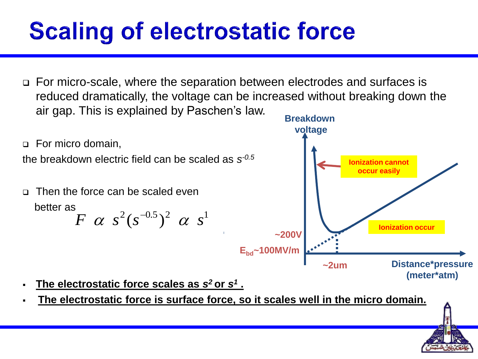# **Scaling of electrostatic force**

 For micro-scale, where the separation between electrodes and surfaces is reduced dramatically, the voltage can be increased without breaking down the air gap. This is explained by Paschen's law.



- **The electrostatic force scales as** *s <sup>2</sup>***or** *s 1* **.**
- **The electrostatic force is surface force, so it scales well in the micro domain.**

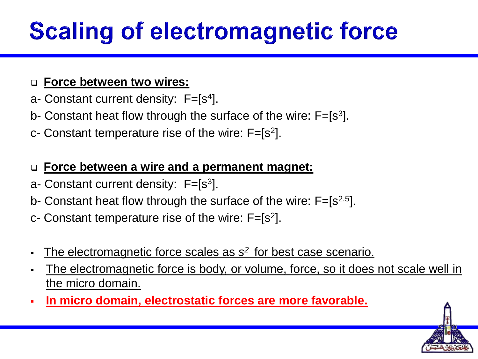# **Scaling of electromagnetic force**

#### **Force between two wires:**

- a- Constant current density:  $F=[s^4]$ .
- b- Constant heat flow through the surface of the wire:  $F=[s^3]$ .
- c- Constant temperature rise of the wire:  $F=[s^2]$ .

#### **Force between a wire and a permanent magnet:**

- a- Constant current density:  $F=[s^3]$ .
- b- Constant heat flow through the surface of the wire:  $F=[s^{2.5}]$ .

c- Constant temperature rise of the wire:  $F=[s^2]$ .

- The electromagnetic force scales as  $s^2$  for best case scenario.
- The electromagnetic force is body, or volume, force, so it does not scale well in the micro domain.
- **In micro domain, electrostatic forces are more favorable.**